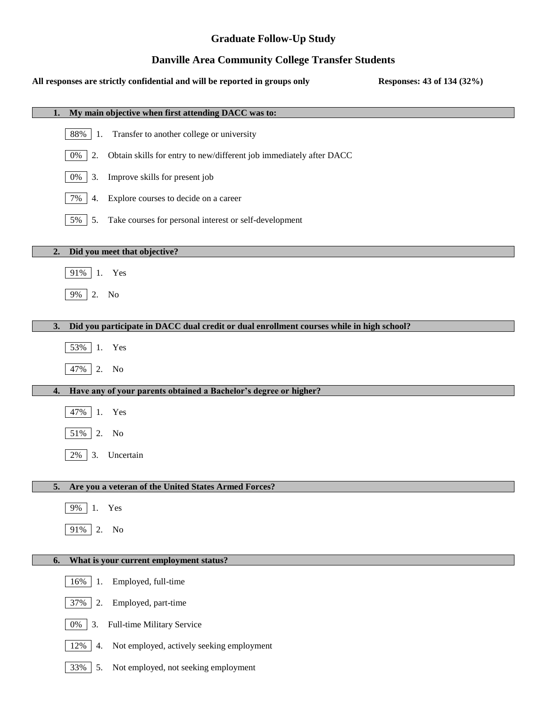# **Graduate Follow-Up Study**

# **Danville Area Community College Transfer Students**

### **All responses are strictly confidential and will be reported in groups only Responses: 43 of 134 (32%)**

| My main objective when first attending DACC was to:<br>1.                                      |
|------------------------------------------------------------------------------------------------|
| 88%<br>Transfer to another college or university<br>1.                                         |
| 0%<br>2.<br>Obtain skills for entry to new/different job immediately after DACC                |
| 0%<br>Improve skills for present job<br>3.                                                     |
| 7%<br>Explore courses to decide on a career<br>4.                                              |
| 5%<br>Take courses for personal interest or self-development<br>5.                             |
| Did you meet that objective?<br>2.                                                             |
| 91% 1. Yes                                                                                     |
| 9%                                                                                             |
| 2. No                                                                                          |
| Did you participate in DACC dual credit or dual enrollment courses while in high school?<br>3. |
| 53% 1.<br>Yes                                                                                  |
| 47%<br>2.<br>No                                                                                |
| Have any of your parents obtained a Bachelor's degree or higher?<br>4.                         |
| 47%<br>Yes<br>1.                                                                               |
| 51%<br>2.<br>No                                                                                |
| 2%<br>3.<br>Uncertain                                                                          |
|                                                                                                |
| 5.<br>Are you a veteran of the United States Armed Forces?                                     |
| Yes<br>9%                                                                                      |
| 91% 2.<br>No                                                                                   |
| What is your current employment status?<br>6.                                                  |
| Employed, full-time<br>16%<br>1.                                                               |
| 37%<br>2.<br>Employed, part-time                                                               |
| Full-time Military Service<br>$0\%$<br>3.                                                      |
| Not employed, actively seeking employment<br>12%<br>4.                                         |
| 33%<br>Not employed, not seeking employment<br>5.                                              |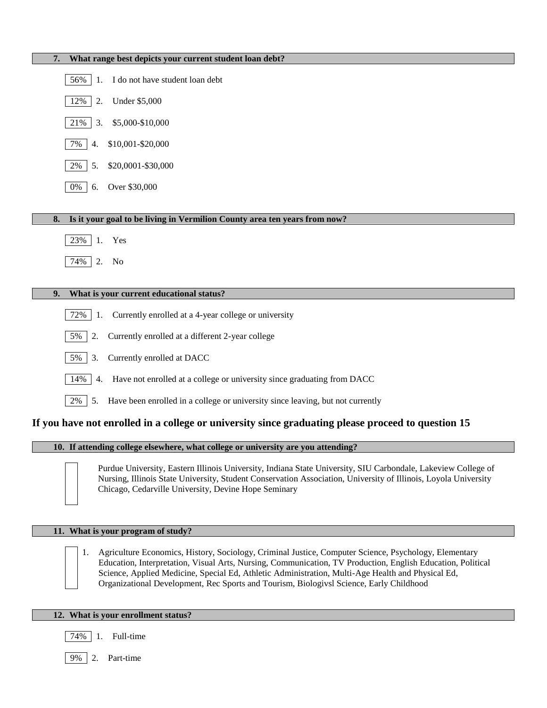| What range best depicts your current student loan debt?<br>7.                              |
|--------------------------------------------------------------------------------------------|
| I do not have student loan debt<br>56%<br>1.                                               |
| 12%<br><b>Under \$5,000</b><br>2.                                                          |
| 3.<br>\$5,000-\$10,000<br>21%                                                              |
| \$10,001-\$20,000<br>7%<br>4.                                                              |
| \$20,0001-\$30,000<br>2%<br>5.                                                             |
| Over \$30,000<br>0%<br>6.                                                                  |
| Is it your goal to be living in Vermilion County area ten years from now?<br>8.            |
|                                                                                            |
| 23%<br>1.<br>Yes                                                                           |
| 74%<br>2.<br>No                                                                            |
|                                                                                            |
| What is your current educational status?<br>9.                                             |
| Currently enrolled at a 4-year college or university<br>72%<br>1.                          |
| 5%<br>Currently enrolled at a different 2-year college<br>2.                               |
| 5%<br>3.<br>Currently enrolled at DACC                                                     |
| 14%<br>Have not enrolled at a college or university since graduating from DACC<br>4.       |
| Have been enrolled in a college or university since leaving, but not currently<br>2%<br>5. |
|                                                                                            |

### **If you have not enrolled in a college or university since graduating please proceed to question 15**

**10. If attending college elsewhere, what college or university are you attending?**



Purdue University, Eastern Illinois University, Indiana State University, SIU Carbondale, Lakeview College of Nursing, Illinois State University, Student Conservation Association, University of Illinois, Loyola University Chicago, Cedarville University, Devine Hope Seminary

### **11. What is your program of study?**

1. Agriculture Economics, History, Sociology, Criminal Justice, Computer Science, Psychology, Elementary Education, Interpretation, Visual Arts, Nursing, Communication, TV Production, English Education, Political Science, Applied Medicine, Special Ed, Athletic Administration, Multi-Age Health and Physical Ed, Organizational Development, Rec Sports and Tourism, Biologivsl Science, Early Childhood

#### **12. What is your enrollment status?**

74% 1. Full-time

9% 2. Part-time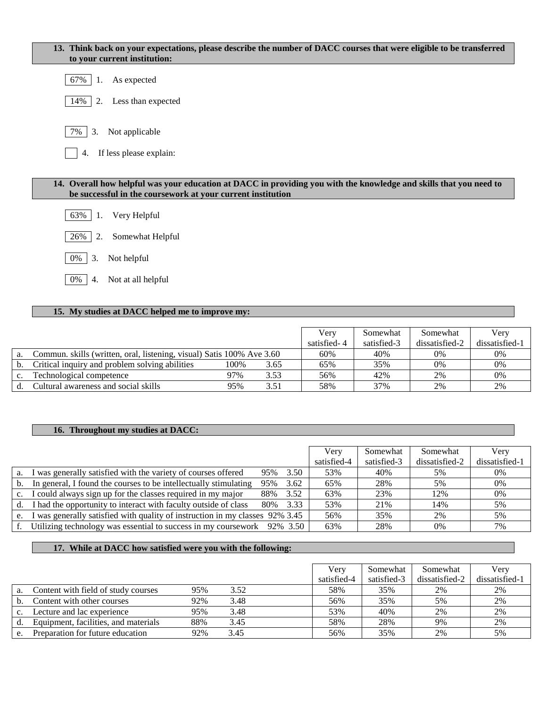| 13. Think back on your expectations, please describe the number of DACC courses that were eligible to be transferred<br>to your current institution:                              |
|-----------------------------------------------------------------------------------------------------------------------------------------------------------------------------------|
| As expected<br>67%<br>1.                                                                                                                                                          |
| Less than expected<br>14%<br>2.                                                                                                                                                   |
| 7%<br>3.<br>Not applicable                                                                                                                                                        |
| If less please explain:<br>4.                                                                                                                                                     |
| 14. Overall how helpful was your education at DACC in providing you with the knowledge and skills that you need to<br>be successful in the coursework at your current institution |
| 63%<br>Very Helpful<br>1.                                                                                                                                                         |
| 2.<br>Somewhat Helpful<br>26%                                                                                                                                                     |
| 3.<br>Not helpful<br>0%                                                                                                                                                           |

0% 4. Not at all helpful

# **15. My studies at DACC helped me to improve my:**

|    |                                                                       |      |      | Verv        | Somewhat    | Somewhat       | Verv           |
|----|-----------------------------------------------------------------------|------|------|-------------|-------------|----------------|----------------|
|    |                                                                       |      |      | satisfied-4 | satisfied-3 | dissatisfied-2 | dissatisfied-1 |
| a. | Commun. skills (written, oral, listening, visual) Satis 100% Ave 3.60 |      |      | 60%         | 40%         | 0%             | 0%             |
|    | Critical inquiry and problem solving abilities                        | 100% | 3.65 | 65%         | 35%         | 0%             | 0%             |
|    | Technological competence                                              | 97%  | 3.53 | 56%         | 42%         | 2%             | 0%             |
|    | Cultural awareness and social skills                                  | 95%  | 3.51 | 58%         | 37%         | 2%             | 2%             |

# **16. Throughout my studies at DACC:**

|                |                                                                              |           |      | Very        | Somewhat    | Somewhat       | Very           |
|----------------|------------------------------------------------------------------------------|-----------|------|-------------|-------------|----------------|----------------|
|                |                                                                              |           |      | satisfied-4 | satisfied-3 | dissatisfied-2 | dissatisfied-1 |
| a.             | I was generally satisfied with the variety of courses offered                | 95%       | 3.50 | 53%         | 40%         | 5%             | 0%             |
| $\mathbf{b}$ . | In general, I found the courses to be intellectually stimulating             | 95%       | 3.62 | 65%         | 28%         | 5%             | 0%             |
|                | c. I could always sign up for the classes required in my major               | 88%       | 3.52 | 63%         | 23%         | 12%            | 0%             |
| d.             | I had the opportunity to interact with faculty outside of class              | 80\% 3.33 |      | 53%         | 21%         | 14%            | 5%             |
| e.             | I was generally satisfied with quality of instruction in my classes 92% 3.45 |           |      | 56%         | 35%         | 2%             | 5%             |
|                | f. Utilizing technology was essential to success in my coursework 92% 3.50   |           |      | 63%         | 28%         | $0\%$          | 7%             |

# **17. While at DACC how satisfied were you with the following:**

|             |                                      |     |      | Very        | Somewhat    | Somewhat       | Very           |
|-------------|--------------------------------------|-----|------|-------------|-------------|----------------|----------------|
|             |                                      |     |      | satisfied-4 | satisfied-3 | dissatisfied-2 | dissatisfied-1 |
| a.          | Content with field of study courses  | 95% | 3.52 | 58%         | 35%         | 2%             | 2%             |
|             | Content with other courses           | 92% | 3.48 | 56%         | 35%         | 5%             | 2%             |
| $c_{\cdot}$ | Lecture and lac experience           | 95% | 3.48 | 53%         | 40%         | 2%             | 2%             |
|             | Equipment, facilities, and materials | 88% | 3.45 | 58%         | 28%         | 9%             | 2%             |
| e.          | Preparation for future education     | 92% | 3.45 | 56%         | 35%         | 2%             | 5%             |